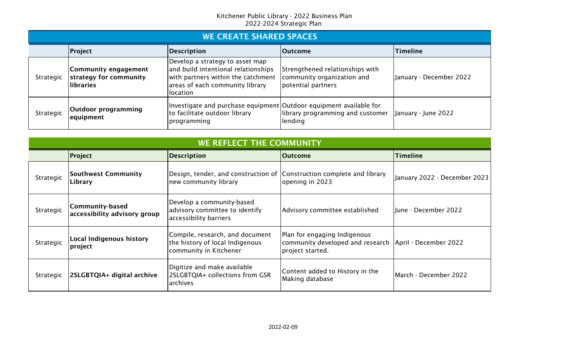|           | <b>WE CREATE SHARED SPACES</b>                               |                                                                                                                                                             |                                                                                     |                         |  |
|-----------|--------------------------------------------------------------|-------------------------------------------------------------------------------------------------------------------------------------------------------------|-------------------------------------------------------------------------------------|-------------------------|--|
|           | Project                                                      | <b>Description</b>                                                                                                                                          | <b>Outcome</b>                                                                      | <b>Timeline</b>         |  |
| Strategic | Community engagement<br>strategy for community<br>llibraries | Develop a strategy to asset map<br>and build intentional relationships<br>with partners within the catchment<br>areas of each community library<br>location | Strengthened relationships with<br>community organization and<br>potential partners | January - December 2022 |  |
| Strategic | Outdoor programming<br>equipment                             | Investigate and purchase equipment Outdoor equipment available for<br>to facilitate outdoor library<br>programming                                          | library programming and customer<br>lending                                         | January - June 2022     |  |

| WE REFLECT THE COMMUNITY |                                                 |                                                                                                |                                                                                                              |                              |
|--------------------------|-------------------------------------------------|------------------------------------------------------------------------------------------------|--------------------------------------------------------------------------------------------------------------|------------------------------|
|                          | <b>Project</b>                                  | <b>Description</b>                                                                             | lOutcome                                                                                                     | <b>Timeline</b>              |
| Strategic                | Southwest Community<br>Library                  | Design, tender, and construction of Construction complete and library<br>new community library | opening in 2023                                                                                              | January 2022 - December 2023 |
| Strategic                | Community-based<br>accessibility advisory group | Develop a community-based<br>advisory committee to identify<br>accessibility barriers          | Advisory committee established                                                                               | llune - December 2022        |
| Strategic                | Local Indigenous history<br>project             | Compile, research, and document<br>the history of local Indigenous<br>community in Kitchener   | Plan for engaging Indigenous<br>community developed and research   April - December 2022<br>project started. |                              |
| Strategic                | 2SLGBTQIA+ digital archive                      | Digitize and make available<br>2SLGBTQIA+ collections from GSR<br>archives                     | Content added to History in the<br>Making database                                                           | lMarch - December 2022       |